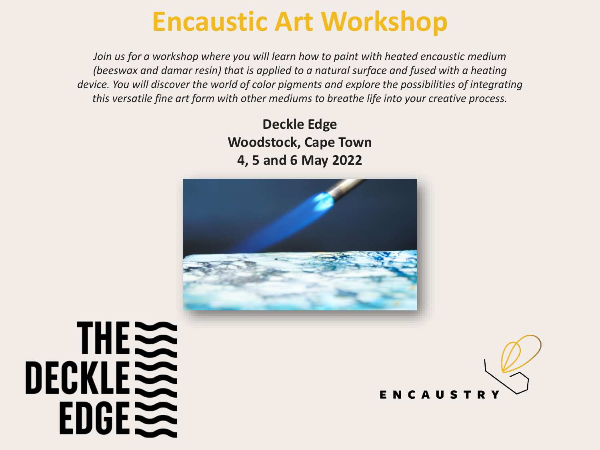## **Encaustic Art Workshop**

*Join us for a workshop where you will learn how to paint with heated encaustic medium (beeswax and damar resin) that is applied to a natural surface and fused with a heating device. You will discover the world of color pigments and explore the possibilities of integrating this versatile fine art form with other mediums to breathe life into your creative process.*

> **Deckle Edge Woodstock, Cape Town 4, 5 and 6 May 2022**



# THE DECKLE  $EDGE \geq$

ENCAUSTR